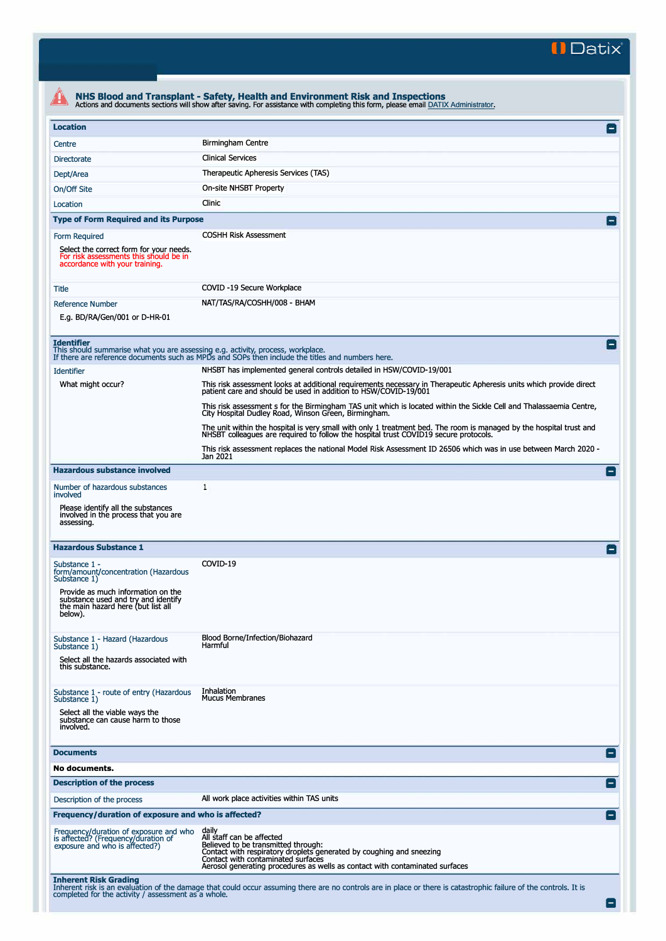**II Datix"** 

| <b>Location</b>                                                                                                                      |                                                                                                                                                                                                             |
|--------------------------------------------------------------------------------------------------------------------------------------|-------------------------------------------------------------------------------------------------------------------------------------------------------------------------------------------------------------|
| Centre                                                                                                                               | <b>Birmingham Centre</b>                                                                                                                                                                                    |
| <b>Directorate</b>                                                                                                                   | <b>Clinical Services</b>                                                                                                                                                                                    |
| Dept/Area                                                                                                                            | Therapeutic Apheresis Services (TAS)                                                                                                                                                                        |
| On/Off Site                                                                                                                          | On-site NHSBT Property                                                                                                                                                                                      |
| Location                                                                                                                             | Clinic                                                                                                                                                                                                      |
| <b>Type of Form Required and its Purpose</b>                                                                                         |                                                                                                                                                                                                             |
|                                                                                                                                      | <b>COSHH Risk Assessment</b>                                                                                                                                                                                |
| Form Required<br>Select the correct form for your needs.<br>For risk assessments this should be in<br>accordance with your training. |                                                                                                                                                                                                             |
| Title                                                                                                                                | COVID -19 Secure Workplace                                                                                                                                                                                  |
| <b>Reference Number</b>                                                                                                              | NAT/TAS/RA/COSHH/008 - BHAM                                                                                                                                                                                 |
| E.g. BD/RA/Gen/001 or D-HR-01                                                                                                        |                                                                                                                                                                                                             |
|                                                                                                                                      |                                                                                                                                                                                                             |
| <b>Identifier</b><br>This should summarise what you are assessing e.g. activity, process, workplace.                                 | If there are reference documents such as MPDs and SOPs then include the titles and numbers here.                                                                                                            |
| <b>Identifier</b>                                                                                                                    | NHSBT has implemented general controls detailed in HSW/COVID-19/001                                                                                                                                         |
| What might occur?                                                                                                                    | This risk assessment looks at additional requirements necessary in Therapeutic Apheresis units which provide direct                                                                                         |
|                                                                                                                                      | patient care and should be used in addition to HSW/COVID-19/001<br>This risk assessment s for the Birmingham TAS unit which is located within the Sickle Cell and Thalassaemia Centre,                      |
|                                                                                                                                      | City Hospital Dudley Road, Winson Green, Birmingham.                                                                                                                                                        |
|                                                                                                                                      | The unit within the hospital is very small with only 1 treatment bed. The room is managed by the hospital trust and<br>NHSBT colleagues are required to follow the hospital trust COVID19 secure protocols. |
|                                                                                                                                      | This risk assessment replaces the national Model Risk Assessment ID 26506 which was in use between March 2020 -<br>Jan 2021                                                                                 |
| <b>Hazardous substance involved</b>                                                                                                  |                                                                                                                                                                                                             |
| Number of hazardous substances                                                                                                       | 1                                                                                                                                                                                                           |
| involved                                                                                                                             |                                                                                                                                                                                                             |
| Please identify all the substances<br>involved in the process that you are<br>assessing.                                             |                                                                                                                                                                                                             |
| <b>Hazardous Substance 1</b>                                                                                                         |                                                                                                                                                                                                             |
| Substance 1 -<br>form/amount/concentration (Hazardous<br>Substance 1)                                                                | COVID-19                                                                                                                                                                                                    |
| Provide as much information on the                                                                                                   |                                                                                                                                                                                                             |
| substance used and try and identify<br>the main hazard here (but list all                                                            |                                                                                                                                                                                                             |
| below).                                                                                                                              |                                                                                                                                                                                                             |
| Substance 1 - Hazard (Hazardous                                                                                                      | Blood Borne/Infection/Biohazard                                                                                                                                                                             |
| Substance 1)                                                                                                                         | Harmful                                                                                                                                                                                                     |
| Select all the hazards associated with<br>this substance.                                                                            |                                                                                                                                                                                                             |
|                                                                                                                                      |                                                                                                                                                                                                             |
| Substance 1 - route of entry (Hazardous<br>Substance 1)                                                                              | Inhalation<br><b>Mucus Membranes</b>                                                                                                                                                                        |
| Select all the viable ways the                                                                                                       |                                                                                                                                                                                                             |
| substance can cause harm to those<br>involved.                                                                                       |                                                                                                                                                                                                             |
|                                                                                                                                      |                                                                                                                                                                                                             |
| <b>Documents</b><br>No documents.                                                                                                    |                                                                                                                                                                                                             |
| <b>Description of the process</b>                                                                                                    |                                                                                                                                                                                                             |
| Description of the process                                                                                                           | All work place activities within TAS units                                                                                                                                                                  |
| Frequency/duration of exposure and who is affected?                                                                                  |                                                                                                                                                                                                             |
|                                                                                                                                      |                                                                                                                                                                                                             |
| Frequency/duration of exposure and who<br>is affected? (Frequency/duration of                                                        | daily<br>All staff can be affected<br>Believed to be transmitted through:                                                                                                                                   |
| exposure and who is affected?)                                                                                                       | Contact with respiratory droplets generated by coughing and sneezing                                                                                                                                        |
|                                                                                                                                      | Contact with contaminated surfaces                                                                                                                                                                          |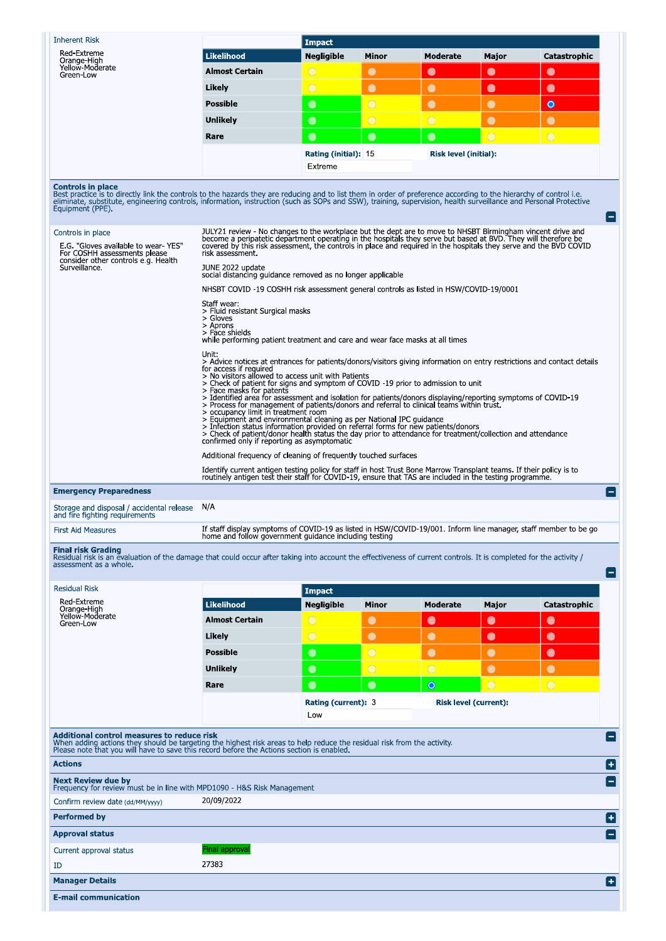| <b>Inherent Risk</b>                                                                                                                                                                                                                                                                                                                                                                                                                                                                                                                                                                                                                                                                                                                                                                                                                    |                                                                                                                                                                                                                                                                                                                                                                                                                                                                                                                                                                                                                                                                                                                                                                                                                                                                                                                                                                                                                                                                                                                                                                                                                                                                                                                       | <b>Impact</b>                           |                |                 |                                                |                |  |
|-----------------------------------------------------------------------------------------------------------------------------------------------------------------------------------------------------------------------------------------------------------------------------------------------------------------------------------------------------------------------------------------------------------------------------------------------------------------------------------------------------------------------------------------------------------------------------------------------------------------------------------------------------------------------------------------------------------------------------------------------------------------------------------------------------------------------------------------|-----------------------------------------------------------------------------------------------------------------------------------------------------------------------------------------------------------------------------------------------------------------------------------------------------------------------------------------------------------------------------------------------------------------------------------------------------------------------------------------------------------------------------------------------------------------------------------------------------------------------------------------------------------------------------------------------------------------------------------------------------------------------------------------------------------------------------------------------------------------------------------------------------------------------------------------------------------------------------------------------------------------------------------------------------------------------------------------------------------------------------------------------------------------------------------------------------------------------------------------------------------------------------------------------------------------------|-----------------------------------------|----------------|-----------------|------------------------------------------------|----------------|--|
| Red-Extreme<br>Orange High                                                                                                                                                                                                                                                                                                                                                                                                                                                                                                                                                                                                                                                                                                                                                                                                              | <b>Likelihood</b>                                                                                                                                                                                                                                                                                                                                                                                                                                                                                                                                                                                                                                                                                                                                                                                                                                                                                                                                                                                                                                                                                                                                                                                                                                                                                                     | <b>Negligible</b>                       | Minor          | Moderate        | Major                                          | Catastrophic   |  |
| Yellow-Moderate<br>Green-Low                                                                                                                                                                                                                                                                                                                                                                                                                                                                                                                                                                                                                                                                                                                                                                                                            | <b>Almost Certain</b>                                                                                                                                                                                                                                                                                                                                                                                                                                                                                                                                                                                                                                                                                                                                                                                                                                                                                                                                                                                                                                                                                                                                                                                                                                                                                                 | $\bigcirc$                              | $\bullet$      | $\bullet$       | $\bullet$                                      | $\bullet$      |  |
|                                                                                                                                                                                                                                                                                                                                                                                                                                                                                                                                                                                                                                                                                                                                                                                                                                         | Likely                                                                                                                                                                                                                                                                                                                                                                                                                                                                                                                                                                                                                                                                                                                                                                                                                                                                                                                                                                                                                                                                                                                                                                                                                                                                                                                | $\bigcirc$                              | $\bullet$      | $\bullet$       | $\bullet$                                      | $\bullet$      |  |
|                                                                                                                                                                                                                                                                                                                                                                                                                                                                                                                                                                                                                                                                                                                                                                                                                                         | <b>Possible</b>                                                                                                                                                                                                                                                                                                                                                                                                                                                                                                                                                                                                                                                                                                                                                                                                                                                                                                                                                                                                                                                                                                                                                                                                                                                                                                       | $\bullet$                               | $\overline{O}$ | $\bullet$       | $\bullet$                                      | $\bullet$      |  |
|                                                                                                                                                                                                                                                                                                                                                                                                                                                                                                                                                                                                                                                                                                                                                                                                                                         | <b>Unlikely</b>                                                                                                                                                                                                                                                                                                                                                                                                                                                                                                                                                                                                                                                                                                                                                                                                                                                                                                                                                                                                                                                                                                                                                                                                                                                                                                       | $\bullet$                               | $\overline{O}$ | $\overline{O}$  | $\bullet$                                      | $\bullet$      |  |
|                                                                                                                                                                                                                                                                                                                                                                                                                                                                                                                                                                                                                                                                                                                                                                                                                                         | Rare                                                                                                                                                                                                                                                                                                                                                                                                                                                                                                                                                                                                                                                                                                                                                                                                                                                                                                                                                                                                                                                                                                                                                                                                                                                                                                                  | $\bullet$                               | $\bullet$      | $\bullet$       | $\bigcirc$                                     | $\bigcirc$     |  |
|                                                                                                                                                                                                                                                                                                                                                                                                                                                                                                                                                                                                                                                                                                                                                                                                                                         |                                                                                                                                                                                                                                                                                                                                                                                                                                                                                                                                                                                                                                                                                                                                                                                                                                                                                                                                                                                                                                                                                                                                                                                                                                                                                                                       |                                         |                |                 |                                                |                |  |
|                                                                                                                                                                                                                                                                                                                                                                                                                                                                                                                                                                                                                                                                                                                                                                                                                                         | Rating (initial): 15<br><b>Risk level (initial):</b><br>Extreme                                                                                                                                                                                                                                                                                                                                                                                                                                                                                                                                                                                                                                                                                                                                                                                                                                                                                                                                                                                                                                                                                                                                                                                                                                                       |                                         |                |                 |                                                |                |  |
| <b>Controls in place</b><br>Best practice is to directly link the controls to the hazards they are reducing and to list them in order of preference according to the hierarchy of control i.e.<br>eliminate, substitute, engineering controls, information, instruction (such as SOPs and SSW), training, supervision, health surveillance and Personal Protective<br>Equipment (PPE).<br>Controls in place<br>E.G. "Gloves available to wear-YES"<br>For COSHH assessments please<br>consider other controls e g. Health<br>Surveillance.                                                                                                                                                                                                                                                                                              | JULY21 review - No changes to the workplace but the dept are to move to NHSBT Birmingham vincent drive and<br>become a peripatetic department operating in the hospitals they serve but based at BVD. They will therefore be<br>covered by this risk assessment, the controls in place and required in the hospitals they serve and the BVD COVID<br>risk assessment<br>JUNE 2022 update<br>social distancing guidance removed as no longer applicable<br>NHSBT COVID -19 COSHH risk assessment general controls as listed in HSW/COVID-19/0001<br>Staff wear:<br>> Fluid resistant Surgical masks<br>> Gloves<br>> Aprons<br>$>$ Face shields<br>while performing patient treatment and care and wear face masks at all times<br>Unit:<br>> Advice notices at entrances for patients/donors/visitors giving information on entry restrictions and contact details<br>for access if required<br>> No visitors allowed to access unit with Patients<br>> Check of patient for signs and symptom of COVID -19 prior to admission to unit<br>> Face masks for patents<br>> Identified area for assessment and isolation for patients/donors displaying/reporting symptoms of COVID-19<br>> Process for management of patients/donors and referral to clinical teams within trust.<br>> occupancy limit in treatment room |                                         |                |                 |                                                |                |  |
|                                                                                                                                                                                                                                                                                                                                                                                                                                                                                                                                                                                                                                                                                                                                                                                                                                         | > Equipment and environmental cleaning as per National IPC quidance<br>> Infection status information provided on referral forms for new patients/donors<br>> Check of patient/donor health status the day prior to attendance for treatment/collection and attendance<br>confirmed only if reporting as asymptomatic<br>Additional frequency of cleaning of frequently touched surfaces                                                                                                                                                                                                                                                                                                                                                                                                                                                                                                                                                                                                                                                                                                                                                                                                                                                                                                                              |                                         |                |                 |                                                |                |  |
|                                                                                                                                                                                                                                                                                                                                                                                                                                                                                                                                                                                                                                                                                                                                                                                                                                         | Identify current antigen testing policy for staff in host Trust Bone Marrow Transplant teams. If their policy is to<br>routinely antigen test their staff for COVID-19, ensure that TAS are included in the testing programme.<br>N/A                                                                                                                                                                                                                                                                                                                                                                                                                                                                                                                                                                                                                                                                                                                                                                                                                                                                                                                                                                                                                                                                                 |                                         |                |                 |                                                |                |  |
|                                                                                                                                                                                                                                                                                                                                                                                                                                                                                                                                                                                                                                                                                                                                                                                                                                         | If staff display symptoms of COVID-19 as listed in HSW/COVID-19/001. Inform line manager, staff member to be go                                                                                                                                                                                                                                                                                                                                                                                                                                                                                                                                                                                                                                                                                                                                                                                                                                                                                                                                                                                                                                                                                                                                                                                                       |                                         |                |                 |                                                |                |  |
|                                                                                                                                                                                                                                                                                                                                                                                                                                                                                                                                                                                                                                                                                                                                                                                                                                         | home and follow government guidance including testing                                                                                                                                                                                                                                                                                                                                                                                                                                                                                                                                                                                                                                                                                                                                                                                                                                                                                                                                                                                                                                                                                                                                                                                                                                                                 |                                         |                |                 |                                                |                |  |
| <b>Residual Risk</b>                                                                                                                                                                                                                                                                                                                                                                                                                                                                                                                                                                                                                                                                                                                                                                                                                    |                                                                                                                                                                                                                                                                                                                                                                                                                                                                                                                                                                                                                                                                                                                                                                                                                                                                                                                                                                                                                                                                                                                                                                                                                                                                                                                       | <b>Impact</b>                           |                |                 |                                                |                |  |
| Red-Extreme<br>Orange-High                                                                                                                                                                                                                                                                                                                                                                                                                                                                                                                                                                                                                                                                                                                                                                                                              | <b>Likelihood</b>                                                                                                                                                                                                                                                                                                                                                                                                                                                                                                                                                                                                                                                                                                                                                                                                                                                                                                                                                                                                                                                                                                                                                                                                                                                                                                     | <b>Negligible</b>                       | Minor          | <b>Moderate</b> | Major                                          | Catastrophic   |  |
| Yellow-Moderate<br>Green-Low                                                                                                                                                                                                                                                                                                                                                                                                                                                                                                                                                                                                                                                                                                                                                                                                            | <b>Almost Certain</b>                                                                                                                                                                                                                                                                                                                                                                                                                                                                                                                                                                                                                                                                                                                                                                                                                                                                                                                                                                                                                                                                                                                                                                                                                                                                                                 | $\bigcirc$                              | $\bullet$      | $\bullet$       | $\bullet$                                      | $\bullet$      |  |
|                                                                                                                                                                                                                                                                                                                                                                                                                                                                                                                                                                                                                                                                                                                                                                                                                                         | Likely                                                                                                                                                                                                                                                                                                                                                                                                                                                                                                                                                                                                                                                                                                                                                                                                                                                                                                                                                                                                                                                                                                                                                                                                                                                                                                                | $\bigcirc$                              | $\bullet$      | $\bullet$       | $\bullet$                                      | $\bullet$      |  |
|                                                                                                                                                                                                                                                                                                                                                                                                                                                                                                                                                                                                                                                                                                                                                                                                                                         | <b>Possible</b>                                                                                                                                                                                                                                                                                                                                                                                                                                                                                                                                                                                                                                                                                                                                                                                                                                                                                                                                                                                                                                                                                                                                                                                                                                                                                                       | $\bullet$                               | $\bigcirc$     | $\bullet$       | $\bullet$                                      | $\bullet$      |  |
|                                                                                                                                                                                                                                                                                                                                                                                                                                                                                                                                                                                                                                                                                                                                                                                                                                         | <b>Unlikely</b>                                                                                                                                                                                                                                                                                                                                                                                                                                                                                                                                                                                                                                                                                                                                                                                                                                                                                                                                                                                                                                                                                                                                                                                                                                                                                                       | $\bullet$                               | $\bigcirc$     | $\bigcirc$      | $\bullet$                                      | $\bullet$      |  |
|                                                                                                                                                                                                                                                                                                                                                                                                                                                                                                                                                                                                                                                                                                                                                                                                                                         | Rare                                                                                                                                                                                                                                                                                                                                                                                                                                                                                                                                                                                                                                                                                                                                                                                                                                                                                                                                                                                                                                                                                                                                                                                                                                                                                                                  |                                         |                |                 |                                                |                |  |
|                                                                                                                                                                                                                                                                                                                                                                                                                                                                                                                                                                                                                                                                                                                                                                                                                                         |                                                                                                                                                                                                                                                                                                                                                                                                                                                                                                                                                                                                                                                                                                                                                                                                                                                                                                                                                                                                                                                                                                                                                                                                                                                                                                                       | $\bullet$<br>Rating (current): 3<br>Low | $\bullet$      | $\circ$         | $\overline{O}$<br><b>Risk level (current):</b> | $\overline{O}$ |  |
|                                                                                                                                                                                                                                                                                                                                                                                                                                                                                                                                                                                                                                                                                                                                                                                                                                         |                                                                                                                                                                                                                                                                                                                                                                                                                                                                                                                                                                                                                                                                                                                                                                                                                                                                                                                                                                                                                                                                                                                                                                                                                                                                                                                       |                                         |                |                 |                                                |                |  |
|                                                                                                                                                                                                                                                                                                                                                                                                                                                                                                                                                                                                                                                                                                                                                                                                                                         |                                                                                                                                                                                                                                                                                                                                                                                                                                                                                                                                                                                                                                                                                                                                                                                                                                                                                                                                                                                                                                                                                                                                                                                                                                                                                                                       |                                         |                |                 |                                                |                |  |
|                                                                                                                                                                                                                                                                                                                                                                                                                                                                                                                                                                                                                                                                                                                                                                                                                                         |                                                                                                                                                                                                                                                                                                                                                                                                                                                                                                                                                                                                                                                                                                                                                                                                                                                                                                                                                                                                                                                                                                                                                                                                                                                                                                                       |                                         |                |                 |                                                |                |  |
|                                                                                                                                                                                                                                                                                                                                                                                                                                                                                                                                                                                                                                                                                                                                                                                                                                         | 20/09/2022                                                                                                                                                                                                                                                                                                                                                                                                                                                                                                                                                                                                                                                                                                                                                                                                                                                                                                                                                                                                                                                                                                                                                                                                                                                                                                            |                                         |                |                 |                                                |                |  |
| <b>Emergency Preparedness</b><br>Storage and disposal / accidental release<br>and fire fighting requirements<br><b>First Aid Measures</b><br><b>Final risk Grading</b><br>Residual risk is an evaluation of the damage that could occur after taking into account the effectiveness of current controls. It is completed for the activity /<br>assessment as a whole.<br><b>Additional control measures to reduce risk</b><br>When adding actions they should be targeting the highest risk areas to help reduce the residual risk from the activity.<br>Please note that you will have to save this record before the Actions section is enabled.<br><b>Actions</b><br><b>Next Review due by</b><br>Frequency for review must be in line with MPD1090 - H&S Risk Management<br>Confirm review date (dd/MM/yyyy)<br><b>Performed by</b> |                                                                                                                                                                                                                                                                                                                                                                                                                                                                                                                                                                                                                                                                                                                                                                                                                                                                                                                                                                                                                                                                                                                                                                                                                                                                                                                       |                                         |                |                 |                                                |                |  |
| <b>Approval status</b>                                                                                                                                                                                                                                                                                                                                                                                                                                                                                                                                                                                                                                                                                                                                                                                                                  |                                                                                                                                                                                                                                                                                                                                                                                                                                                                                                                                                                                                                                                                                                                                                                                                                                                                                                                                                                                                                                                                                                                                                                                                                                                                                                                       |                                         |                |                 |                                                |                |  |
|                                                                                                                                                                                                                                                                                                                                                                                                                                                                                                                                                                                                                                                                                                                                                                                                                                         |                                                                                                                                                                                                                                                                                                                                                                                                                                                                                                                                                                                                                                                                                                                                                                                                                                                                                                                                                                                                                                                                                                                                                                                                                                                                                                                       |                                         |                |                 |                                                |                |  |
| Current approval status                                                                                                                                                                                                                                                                                                                                                                                                                                                                                                                                                                                                                                                                                                                                                                                                                 | Final approval                                                                                                                                                                                                                                                                                                                                                                                                                                                                                                                                                                                                                                                                                                                                                                                                                                                                                                                                                                                                                                                                                                                                                                                                                                                                                                        |                                         |                |                 |                                                |                |  |
| ID<br><b>Manager Details</b>                                                                                                                                                                                                                                                                                                                                                                                                                                                                                                                                                                                                                                                                                                                                                                                                            | 27383                                                                                                                                                                                                                                                                                                                                                                                                                                                                                                                                                                                                                                                                                                                                                                                                                                                                                                                                                                                                                                                                                                                                                                                                                                                                                                                 |                                         |                |                 |                                                |                |  |